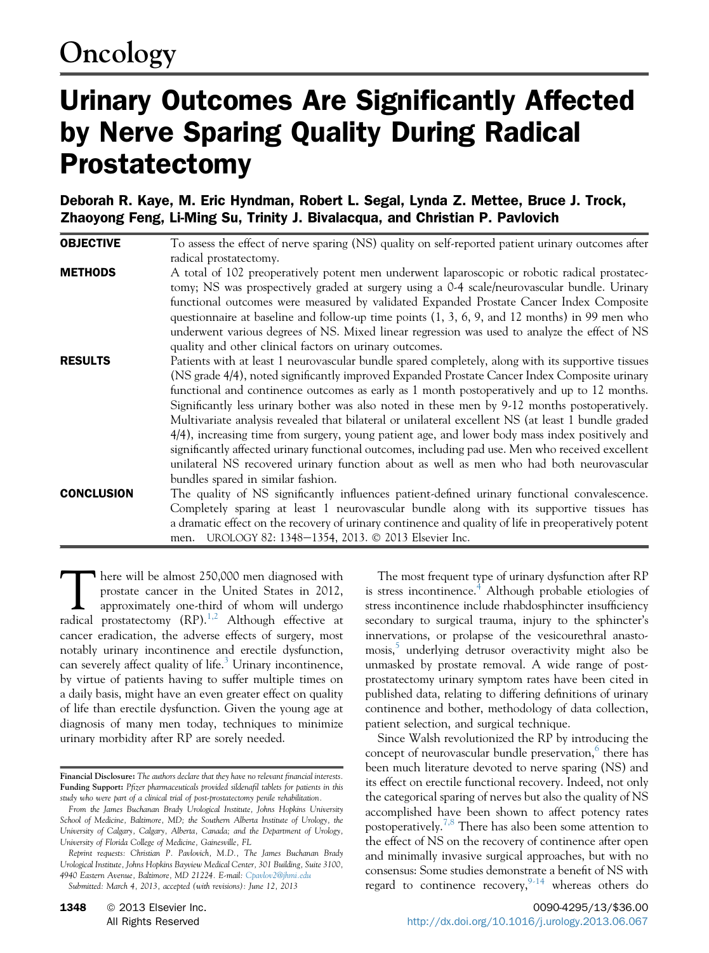# Urinary Outcomes Are Significantly Affected by Nerve Sparing Quality During Radical Prostatectomy

Deborah R. Kaye, M. Eric Hyndman, Robert L. Segal, Lynda Z. Mettee, Bruce J. Trock, Zhaoyong Feng, Li-Ming Su, Trinity J. Bivalacqua, and Christian P. Pavlovich

**OBJECTIVE** To assess the effect of nerve sparing (NS) quality on self-reported patient urinary outcomes after radical prostatectomy. **METHODS** A total of 102 preoperatively potent men underwent laparoscopic or robotic radical prostatectomy; NS was prospectively graded at surgery using a 0-4 scale/neurovascular bundle. Urinary functional outcomes were measured by validated Expanded Prostate Cancer Index Composite questionnaire at baseline and follow-up time points (1, 3, 6, 9, and 12 months) in 99 men who underwent various degrees of NS. Mixed linear regression was used to analyze the effect of NS quality and other clinical factors on urinary outcomes. **RESULTS** Patients with at least 1 neurovascular bundle spared completely, along with its supportive tissues (NS grade 4/4), noted significantly improved Expanded Prostate Cancer Index Composite urinary functional and continence outcomes as early as 1 month postoperatively and up to 12 months. Significantly less urinary bother was also noted in these men by 9-12 months postoperatively. Multivariate analysis revealed that bilateral or unilateral excellent NS (at least 1 bundle graded 4/4), increasing time from surgery, young patient age, and lower body mass index positively and significantly affected urinary functional outcomes, including pad use. Men who received excellent unilateral NS recovered urinary function about as well as men who had both neurovascular bundles spared in similar fashion. CONCLUSION The quality of NS significantly influences patient-defined urinary functional convalescence. Completely sparing at least 1 neurovascular bundle along with its supportive tissues has a dramatic effect on the recovery of urinary continence and quality of life in preoperatively potent men. UROLOGY 82: 1348-1354, 2013. © 2013 Elsevier Inc.

There will be almost 250,000 men diagnosed with<br>prostate cancer in the United States in 2012,<br>approximately one-third of whom will undergo<br>radical prostatectomy  $(RP)^{1,2}$ . Although effective at prostate cancer in the United States in 2012, radical prostatectomy  $(RP)$ .<sup>1,2</sup> Although effective at cancer eradication, the adverse effects of surgery, most notably urinary incontinence and erectile dysfunction, can severely affect quality of life. $3$  Urinary incontinence, by virtue of patients having to suffer multiple times on a daily basis, might have an even greater effect on quality of life than erectile dysfunction. Given the young age at diagnosis of many men today, techniques to minimize urinary morbidity after RP are sorely needed.

Submitted: March 4, 2013, accepted (with revisions): June 12, 2013

The most frequent type of urinary dysfunction after RP is stress incontinence.<sup>[4](#page-4-0)</sup> Although probable etiologies of stress incontinence include rhabdosphincter insufficiency secondary to surgical trauma, injury to the sphincter's innervations, or prolapse of the vesicourethral anasto-mosis,<sup>[5](#page-4-0)</sup> underlying detrusor overactivity might also be unmasked by prostate removal. A wide range of postprostatectomy urinary symptom rates have been cited in published data, relating to differing definitions of urinary continence and bother, methodology of data collection, patient selection, and surgical technique.

Since Walsh revolutionized the RP by introducing the concept of neurovascular bundle preservation,<sup>[6](#page-4-0)</sup> there has been much literature devoted to nerve sparing (NS) and its effect on erectile functional recovery. Indeed, not only the categorical sparing of nerves but also the quality of NS accomplished have been shown to affect potency rates postoperatively.<sup>7,8</sup> There has also been some attention to the effect of NS on the recovery of continence after open and minimally invasive surgical approaches, but with no consensus: Some studies demonstrate a benefit of NS with regard to continence recovery, whereas others do

Financial Disclosure: The authors declare that they have no relevant financial interests. Funding Support: Pfizer pharmaceuticals provided sildenafil tablets for patients in this study who were part of a clinical trial of post-prostatectomy penile rehabilitation.

From the James Buchanan Brady Urological Institute, Johns Hopkins University School of Medicine, Baltimore, MD; the Southern Alberta Institute of Urology, the University of Calgary, Calgary, Alberta, Canada; and the Department of Urology, University of Florida College of Medicine, Gainesville, FL

Reprint requests: Christian P. Pavlovich, M.D., The James Buchanan Brady Urological Institute, Johns Hopkins Bayview Medical Center, 301 Building, Suite 3100, 4940 Eastern Avenue, Baltimore, MD 21224. E-mail: [Cpavlov2@jhmi.edu](mailto:Cpavlov2@jhmi.edu)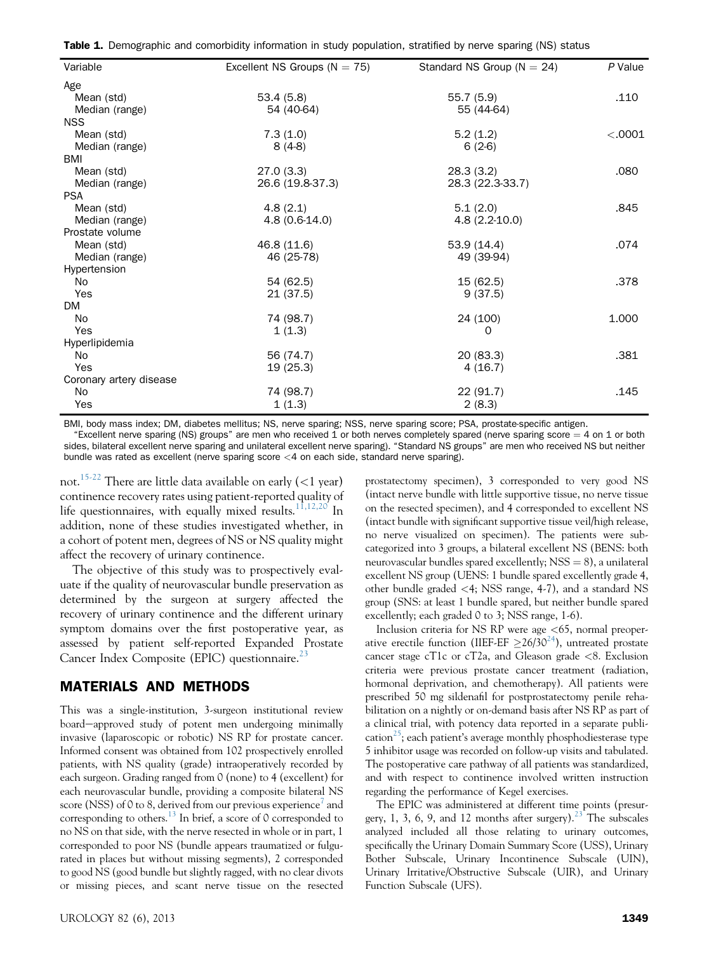<span id="page-1-0"></span>

| Variable                | Excellent NS Groups ( $N = 75$ ) | Standard NS Group ( $N = 24$ ) | P Value |
|-------------------------|----------------------------------|--------------------------------|---------|
| Age                     |                                  |                                |         |
| Mean (std)              | 53.4(5.8)                        | 55.7(5.9)                      | .110    |
| Median (range)          | 54 (40-64)                       | 55 (44-64)                     |         |
| <b>NSS</b>              |                                  |                                |         |
| Mean (std)              | 7.3(1.0)                         | 5.2(1.2)                       | < .0001 |
| Median (range)          | $8(4-8)$                         | $6(2-6)$                       |         |
| BMI                     |                                  |                                |         |
| Mean (std)              | 27.0(3.3)                        | 28.3(3.2)                      | .080    |
| Median (range)          | 26.6 (19.8-37.3)                 | 28.3 (22.3-33.7)               |         |
| <b>PSA</b>              |                                  |                                |         |
| Mean (std)              | 4.8(2.1)                         | 5.1(2.0)                       | .845    |
| Median (range)          | $4.8(0.6-14.0)$                  | $4.8(2.2 - 10.0)$              |         |
| Prostate volume         |                                  |                                |         |
| Mean (std)              | 46.8 (11.6)                      | 53.9(14.4)                     | .074    |
| Median (range)          | 46 (25-78)                       | 49 (39-94)                     |         |
| Hypertension            |                                  |                                |         |
| <b>No</b>               | 54 (62.5)                        | 15 (62.5)                      | .378    |
| Yes                     | 21(37.5)                         | 9(37.5)                        |         |
| DM.                     |                                  |                                |         |
| No                      | 74 (98.7)                        | 24 (100)                       | 1.000   |
| Yes                     | 1(1.3)                           | 0                              |         |
| Hyperlipidemia          |                                  |                                |         |
| No                      | 56 (74.7)                        | 20(83.3)                       | .381    |
| Yes                     | 19 (25.3)                        | 4(16.7)                        |         |
| Coronary artery disease |                                  |                                |         |
| No                      | 74 (98.7)                        | 22(91.7)                       | .145    |
| Yes                     | 1(1.3)                           | 2(8.3)                         |         |

BMI, body mass index; DM, diabetes mellitus; NS, nerve sparing; NSS, nerve sparing score; PSA, prostate-specific antigen.

"Excellent nerve sparing (NS) groups" are men who received 1 or both nerves completely spared (nerve sparing score  $=$  4 on 1 or both sides, bilateral excellent nerve sparing and unilateral excellent nerve sparing). "Standard NS groups" are men who received NS but neither bundle was rated as excellent (nerve sparing score <4 on each side, standard nerve sparing).

not.<sup>[15-22](#page-5-0)</sup> There are little data available on early  $(<1$  year) continence recovery rates using patient-reported quality of life questionnaires, with equally mixed results.<sup>[11,12,20](#page-4-0)</sup> In addition, none of these studies investigated whether, in a cohort of potent men, degrees of NS or NS quality might affect the recovery of urinary continence.

The objective of this study was to prospectively evaluate if the quality of neurovascular bundle preservation as determined by the surgeon at surgery affected the recovery of urinary continence and the different urinary symptom domains over the first postoperative year, as assessed by patient self-reported Expanded Prostate Cancer Index Composite (EPIC) questionnaire. $^{23}$  $^{23}$  $^{23}$ 

## MATERIALS AND METHODS

This was a single-institution, 3-surgeon institutional review board-approved study of potent men undergoing minimally invasive (laparoscopic or robotic) NS RP for prostate cancer. Informed consent was obtained from 102 prospectively enrolled patients, with NS quality (grade) intraoperatively recorded by each surgeon. Grading ranged from 0 (none) to 4 (excellent) for each neurovascular bundle, providing a composite bilateral NS score (NSS) of 0 to 8, derived from our previous experience<sup>[7](#page-4-0)</sup> and corresponding to others.<sup>[13](#page-5-0)</sup> In brief, a score of 0 corresponded to no NS on that side, with the nerve resected in whole or in part, 1 corresponded to poor NS (bundle appears traumatized or fulgurated in places but without missing segments), 2 corresponded to good NS (good bundle but slightly ragged, with no clear divots or missing pieces, and scant nerve tissue on the resected

prostatectomy specimen), 3 corresponded to very good NS (intact nerve bundle with little supportive tissue, no nerve tissue on the resected specimen), and 4 corresponded to excellent NS (intact bundle with significant supportive tissue veil/high release, no nerve visualized on specimen). The patients were subcategorized into 3 groups, a bilateral excellent NS (BENS: both neurovascular bundles spared excellently;  $NSS = 8$ ), a unilateral excellent NS group (UENS: 1 bundle spared excellently grade 4, other bundle graded <4; NSS range, 4-7), and a standard NS group (SNS: at least 1 bundle spared, but neither bundle spared excellently; each graded 0 to 3; NSS range, 1-6).

Inclusion criteria for NS RP were age <65, normal preoperative erectile function (IIEF-EF  $\geq$ 26/30<sup>[24](#page-5-0)</sup>), untreated prostate cancer stage cT1c or cT2a, and Gleason grade <8. Exclusion criteria were previous prostate cancer treatment (radiation, hormonal deprivation, and chemotherapy). All patients were prescribed 50 mg sildenafil for postprostatectomy penile rehabilitation on a nightly or on-demand basis after NS RP as part of a clinical trial, with potency data reported in a separate publi-cation<sup>[25](#page-5-0)</sup>; each patient's average monthly phosphodiesterase type 5 inhibitor usage was recorded on follow-up visits and tabulated. The postoperative care pathway of all patients was standardized, and with respect to continence involved written instruction regarding the performance of Kegel exercises.

The EPIC was administered at different time points (presur-gery, 1, 3, 6, 9, and 12 months after surgery).<sup>[23](#page-5-0)</sup> The subscales analyzed included all those relating to urinary outcomes, specifically the Urinary Domain Summary Score (USS), Urinary Bother Subscale, Urinary Incontinence Subscale (UIN), Urinary Irritative/Obstructive Subscale (UIR), and Urinary Function Subscale (UFS).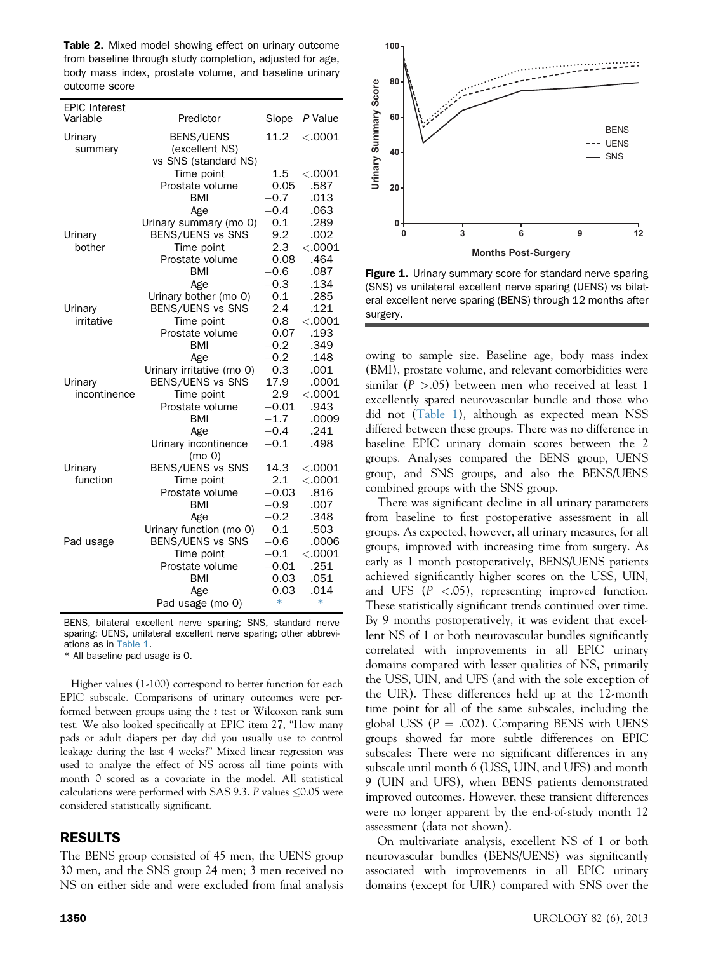<span id="page-2-0"></span>Table 2. Mixed model showing effect on urinary outcome from baseline through study completion, adjusted for age, body mass index, prostate volume, and baseline urinary outcome score

| <b>EPIC Interest</b><br>Variable | Predictor                 | Slope          | P Value        |
|----------------------------------|---------------------------|----------------|----------------|
| Urinary                          | BENS/UENS                 | 11.2           | < .0001        |
| summary                          | (excellent NS)            |                |                |
|                                  | vs SNS (standard NS)      |                |                |
|                                  | Time point                | 1.5            | < .0001        |
|                                  | Prostate volume           | 0.05           | .587           |
|                                  | BMI                       | $-0.7$         | .013           |
|                                  | Age                       | $-0.4$         | .063           |
|                                  | Urinary summary (mo 0)    | 0.1            | .289           |
| Urinary                          | BENS/UENS vs SNS          | 9.2            | .002           |
| bother                           | Time point                | 2.3            | < .0001        |
|                                  | Prostate volume           | 0.08           | .464           |
|                                  | <b>BMI</b>                | $-0.6$         | .087           |
|                                  | Age                       | $-0.3$         | .134           |
|                                  | Urinary bother (mo 0)     | 0.1            | .285           |
| Urinary                          | BENS/UENS vs SNS          | 2.4            | .121           |
| irritative                       | Time point                | 0.8            | < .0001        |
|                                  | Prostate volume           | 0.07           | .193           |
|                                  | BMI                       | $-0.2$         | .349           |
|                                  | Age                       | $-0.2$         | .148           |
|                                  | Urinary irritative (mo 0) | 0.3            | .001           |
| Urinary                          | BENS/UENS vs SNS          | 17.9           | .0001          |
| incontinence                     | Time point                | 2.9            | < .0001        |
|                                  | Prostate volume           | $-0.01$        | .943           |
|                                  | <b>BMI</b>                | $-1.7$         | .0009          |
|                                  | Age                       | $-0.4$         | .241           |
|                                  | Urinary incontinence      | $-0.1$         | .498           |
|                                  | (mo 0)                    |                |                |
| Urinary                          | BENS/UENS vs SNS          | 14.3           | < .0001        |
| function                         | Time point                | 2.1            | < .0001        |
|                                  | Prostate volume           | $-0.03$        | .816           |
|                                  | <b>BMI</b>                | $-0.9$         | .007           |
|                                  | Age                       | $-0.2$         | .348           |
|                                  | Urinary function (mo 0)   | 0.1            | .503           |
| Pad usage                        | BENS/UENS vs SNS          | $-0.6$         | .0006          |
|                                  | Time point                | $-0.1$         | < .0001        |
|                                  | Prostate volume           | $-0.01$        | .251           |
|                                  | <b>BMI</b>                | 0.03           | .051           |
|                                  | Age                       | 0.03<br>$\ast$ | .014<br>$\ast$ |
|                                  | Pad usage (mo 0)          |                |                |

BENS, bilateral excellent nerve sparing; SNS, standard nerve sparing; UENS, unilateral excellent nerve sparing; other abbreviations as in [Table 1](#page-1-0).

\* All baseline pad usage is 0.

Higher values (1-100) correspond to better function for each EPIC subscale. Comparisons of urinary outcomes were performed between groups using the t test or Wilcoxon rank sum test. We also looked specifically at EPIC item 27, "How many pads or adult diapers per day did you usually use to control leakage during the last 4 weeks?" Mixed linear regression was used to analyze the effect of NS across all time points with month 0 scored as a covariate in the model. All statistical calculations were performed with SAS 9.3. P values  $\leq$  0.05 were considered statistically significant.

## RESULTS

The BENS group consisted of 45 men, the UENS group 30 men, and the SNS group 24 men; 3 men received no NS on either side and were excluded from final analysis



Figure 1. Urinary summary score for standard nerve sparing (SNS) vs unilateral excellent nerve sparing (UENS) vs bilateral excellent nerve sparing (BENS) through 12 months after surgery.

owing to sample size. Baseline age, body mass index (BMI), prostate volume, and relevant comorbidities were similar ( $P > .05$ ) between men who received at least 1 excellently spared neurovascular bundle and those who did not ([Table 1\)](#page-1-0), although as expected mean NSS differed between these groups. There was no difference in baseline EPIC urinary domain scores between the 2 groups. Analyses compared the BENS group, UENS group, and SNS groups, and also the BENS/UENS combined groups with the SNS group.

There was significant decline in all urinary parameters from baseline to first postoperative assessment in all groups. As expected, however, all urinary measures, for all groups, improved with increasing time from surgery. As early as 1 month postoperatively, BENS/UENS patients achieved significantly higher scores on the USS, UIN, and UFS  $(P \le .05)$ , representing improved function. These statistically significant trends continued over time. By 9 months postoperatively, it was evident that excellent NS of 1 or both neurovascular bundles significantly correlated with improvements in all EPIC urinary domains compared with lesser qualities of NS, primarily the USS, UIN, and UFS (and with the sole exception of the UIR). These differences held up at the 12-month time point for all of the same subscales, including the global USS  $(P = .002)$ . Comparing BENS with UENS groups showed far more subtle differences on EPIC subscales: There were no significant differences in any subscale until month 6 (USS, UIN, and UFS) and month 9 (UIN and UFS), when BENS patients demonstrated improved outcomes. However, these transient differences were no longer apparent by the end-of-study month 12 assessment (data not shown).

On multivariate analysis, excellent NS of 1 or both neurovascular bundles (BENS/UENS) was significantly associated with improvements in all EPIC urinary domains (except for UIR) compared with SNS over the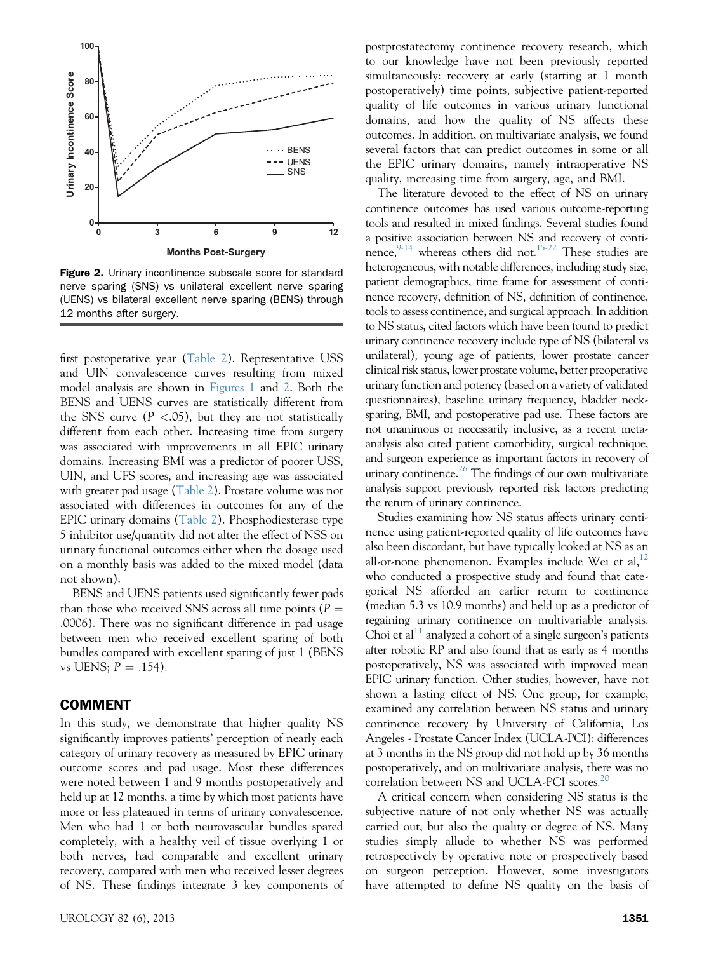

Figure 2. Urinary incontinence subscale score for standard nerve sparing (SNS) vs unilateral excellent nerve sparing (UENS) vs bilateral excellent nerve sparing (BENS) through 12 months after surgery.

first postoperative year ([Table 2\)](#page-2-0). Representative USS and UIN convalescence curves resulting from mixed model analysis are shown in [Figures 1](#page-2-0) and 2. Both the BENS and UENS curves are statistically different from the SNS curve  $(P < .05)$ , but they are not statistically different from each other. Increasing time from surgery was associated with improvements in all EPIC urinary domains. Increasing BMI was a predictor of poorer USS, UIN, and UFS scores, and increasing age was associated with greater pad usage [\(Table 2](#page-2-0)). Prostate volume was not associated with differences in outcomes for any of the EPIC urinary domains [\(Table 2\)](#page-2-0). Phosphodiesterase type 5 inhibitor use/quantity did not alter the effect of NSS on urinary functional outcomes either when the dosage used on a monthly basis was added to the mixed model (data not shown).

BENS and UENS patients used significantly fewer pads than those who received SNS across all time points ( $P =$ .0006). There was no significant difference in pad usage between men who received excellent sparing of both bundles compared with excellent sparing of just 1 (BENS vs UENS;  $P = .154$ ).

## COMMENT

In this study, we demonstrate that higher quality NS significantly improves patients' perception of nearly each category of urinary recovery as measured by EPIC urinary outcome scores and pad usage. Most these differences were noted between 1 and 9 months postoperatively and held up at 12 months, a time by which most patients have more or less plateaued in terms of urinary convalescence. Men who had 1 or both neurovascular bundles spared completely, with a healthy veil of tissue overlying 1 or both nerves, had comparable and excellent urinary recovery, compared with men who received lesser degrees of NS. These findings integrate 3 key components of

postprostatectomy continence recovery research, which to our knowledge have not been previously reported simultaneously: recovery at early (starting at 1 month postoperatively) time points, subjective patient-reported quality of life outcomes in various urinary functional domains, and how the quality of NS affects these outcomes. In addition, on multivariate analysis, we found several factors that can predict outcomes in some or all the EPIC urinary domains, namely intraoperative NS quality, increasing time from surgery, age, and BMI.

The literature devoted to the effect of NS on urinary continence outcomes has used various outcome-reporting tools and resulted in mixed findings. Several studies found a positive association between NS and recovery of conti-nence, <sup>[9-14](#page-4-0)</sup> whereas others did not.<sup>15-22</sup> These studies are heterogeneous, with notable differences, including study size, patient demographics, time frame for assessment of continence recovery, definition of NS, definition of continence, tools to assess continence, and surgical approach. In addition to NS status, cited factors which have been found to predict urinary continence recovery include type of NS (bilateral vs unilateral), young age of patients, lower prostate cancer clinical risk status, lower prostate volume, better preoperative urinary function and potency (based on a variety of validated questionnaires), baseline urinary frequency, bladder necksparing, BMI, and postoperative pad use. These factors are not unanimous or necessarily inclusive, as a recent metaanalysis also cited patient comorbidity, surgical technique, and surgeon experience as important factors in recovery of urinary continence. $^{26}$  $^{26}$  $^{26}$  The findings of our own multivariate analysis support previously reported risk factors predicting the return of urinary continence.

Studies examining how NS status affects urinary continence using patient-reported quality of life outcomes have also been discordant, but have typically looked at NS as an all-or-none phenomenon. Examples include Wei et al, $^{12}$  $^{12}$  $^{12}$ who conducted a prospective study and found that categorical NS afforded an earlier return to continence (median 5.3 vs 10.9 months) and held up as a predictor of regaining urinary continence on multivariable analysis. Choi et al<sup>11</sup> analyzed a cohort of a single surgeon's patients after robotic RP and also found that as early as 4 months postoperatively, NS was associated with improved mean EPIC urinary function. Other studies, however, have not shown a lasting effect of NS. One group, for example, examined any correlation between NS status and urinary continence recovery by University of California, Los Angeles - Prostate Cancer Index (UCLA-PCI): differences at 3 months in the NS group did not hold up by 36 months postoperatively, and on multivariate analysis, there was no correlation between NS and UCLA-PCI scores.<sup>20</sup>

A critical concern when considering NS status is the subjective nature of not only whether NS was actually carried out, but also the quality or degree of NS. Many studies simply allude to whether NS was performed retrospectively by operative note or prospectively based on surgeon perception. However, some investigators have attempted to define NS quality on the basis of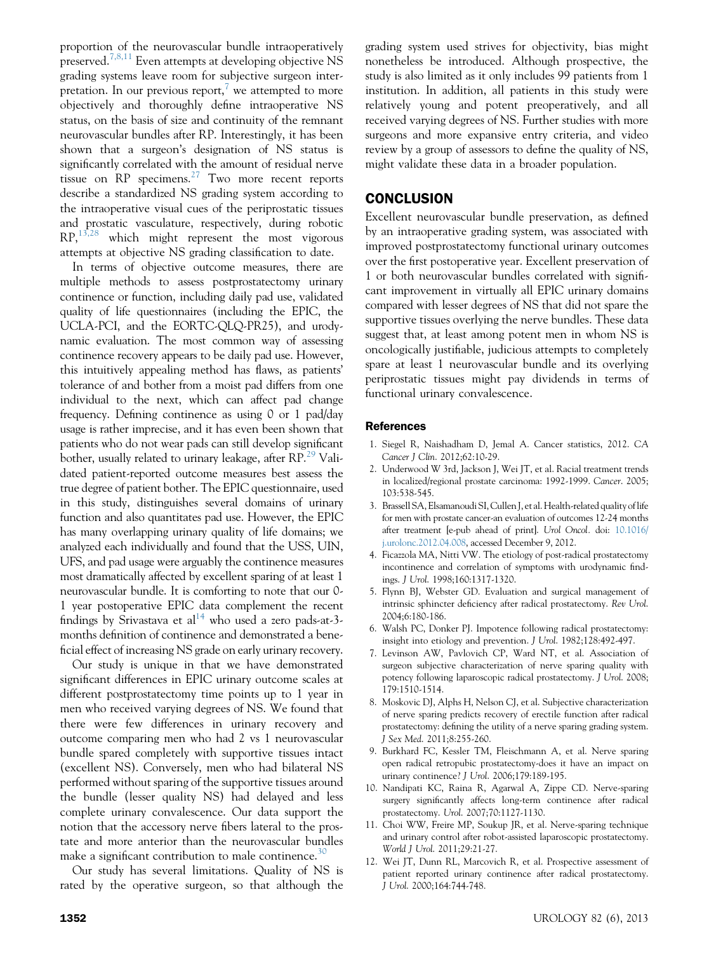<span id="page-4-0"></span>proportion of the neurovascular bundle intraoperatively preserved.<sup>7,8,11</sup> Even attempts at developing objective NS grading systems leave room for subjective surgeon interpretation. In our previous report, $\alpha$  we attempted to more objectively and thoroughly define intraoperative NS status, on the basis of size and continuity of the remnant neurovascular bundles after RP. Interestingly, it has been shown that a surgeon's designation of NS status is significantly correlated with the amount of residual nerve tissue on  $RP$  specimens.<sup>[27](#page-5-0)</sup> Two more recent reports describe a standardized NS grading system according to the intraoperative visual cues of the periprostatic tissues and prostatic vasculature, respectively, during robotic RP,[13,28](#page-5-0) which might represent the most vigorous attempts at objective NS grading classification to date.

In terms of objective outcome measures, there are multiple methods to assess postprostatectomy urinary continence or function, including daily pad use, validated quality of life questionnaires (including the EPIC, the UCLA-PCI, and the EORTC-QLQ-PR25), and urodynamic evaluation. The most common way of assessing continence recovery appears to be daily pad use. However, this intuitively appealing method has flaws, as patients' tolerance of and bother from a moist pad differs from one individual to the next, which can affect pad change frequency. Defining continence as using 0 or 1 pad/day usage is rather imprecise, and it has even been shown that patients who do not wear pads can still develop significant bother, usually related to urinary leakage, after RP.<sup>29</sup> Validated patient-reported outcome measures best assess the true degree of patient bother. The EPIC questionnaire, used in this study, distinguishes several domains of urinary function and also quantitates pad use. However, the EPIC has many overlapping urinary quality of life domains; we analyzed each individually and found that the USS, UIN, UFS, and pad usage were arguably the continence measures most dramatically affected by excellent sparing of at least 1 neurovascular bundle. It is comforting to note that our 0- 1 year postoperative EPIC data complement the recent findings by Srivastava et  $al^{14}$  who used a zero pads-at-3months definition of continence and demonstrated a beneficial effect of increasing NS grade on early urinary recovery.

Our study is unique in that we have demonstrated significant differences in EPIC urinary outcome scales at different postprostatectomy time points up to 1 year in men who received varying degrees of NS. We found that there were few differences in urinary recovery and outcome comparing men who had 2 vs 1 neurovascular bundle spared completely with supportive tissues intact (excellent NS). Conversely, men who had bilateral NS performed without sparing of the supportive tissues around the bundle (lesser quality NS) had delayed and less complete urinary convalescence. Our data support the notion that the accessory nerve fibers lateral to the prostate and more anterior than the neurovascular bundles make a significant contribution to male continence.<sup>[30](#page-5-0)</sup>

Our study has several limitations. Quality of NS is rated by the operative surgeon, so that although the grading system used strives for objectivity, bias might nonetheless be introduced. Although prospective, the study is also limited as it only includes 99 patients from 1 institution. In addition, all patients in this study were relatively young and potent preoperatively, and all received varying degrees of NS. Further studies with more surgeons and more expansive entry criteria, and video review by a group of assessors to define the quality of NS, might validate these data in a broader population.

# **CONCLUSION**

Excellent neurovascular bundle preservation, as defined by an intraoperative grading system, was associated with improved postprostatectomy functional urinary outcomes over the first postoperative year. Excellent preservation of 1 or both neurovascular bundles correlated with significant improvement in virtually all EPIC urinary domains compared with lesser degrees of NS that did not spare the supportive tissues overlying the nerve bundles. These data suggest that, at least among potent men in whom NS is oncologically justifiable, judicious attempts to completely spare at least 1 neurovascular bundle and its overlying periprostatic tissues might pay dividends in terms of functional urinary convalescence.

#### **References**

- 1. Siegel R, Naishadham D, Jemal A. Cancer statistics, 2012. CA Cancer J Clin. 2012;62:10-29.
- 2. Underwood W 3rd, Jackson J, Wei JT, et al. Racial treatment trends in localized/regional prostate carcinoma: 1992-1999. Cancer. 2005; 103:538-545.
- 3. Brassell SA, Elsamanoudi SI, Cullen J, et al. Health-related quality of life for men with prostate cancer-an evaluation of outcomes 12-24 months after treatment [e-pub ahead of print]. Urol Oncol. doi: [10.1016/](http://10.1016/j.urolonc.2012.04.008) [j.urolonc.2012.04.008,](http://10.1016/j.urolonc.2012.04.008) accessed December 9, 2012.
- 4. Ficazzola MA, Nitti VW. The etiology of post-radical prostatectomy incontinence and correlation of symptoms with urodynamic findings. J Urol. 1998;160:1317-1320.
- 5. Flynn BJ, Webster GD. Evaluation and surgical management of intrinsic sphincter deficiency after radical prostatectomy. Rev Urol. 2004;6:180-186.
- 6. Walsh PC, Donker PJ. Impotence following radical prostatectomy: insight into etiology and prevention. J Urol. 1982;128:492-497.
- 7. Levinson AW, Pavlovich CP, Ward NT, et al. Association of surgeon subjective characterization of nerve sparing quality with potency following laparoscopic radical prostatectomy. J Urol. 2008; 179:1510-1514.
- 8. Moskovic DJ, Alphs H, Nelson CJ, et al. Subjective characterization of nerve sparing predicts recovery of erectile function after radical prostatectomy: defining the utility of a nerve sparing grading system. J Sex Med. 2011;8:255-260.
- 9. Burkhard FC, Kessler TM, Fleischmann A, et al. Nerve sparing open radical retropubic prostatectomy-does it have an impact on urinary continence? J Urol. 2006;179:189-195.
- 10. Nandipati KC, Raina R, Agarwal A, Zippe CD. Nerve-sparing surgery significantly affects long-term continence after radical prostatectomy. Urol. 2007;70:1127-1130.
- 11. Choi WW, Freire MP, Soukup JR, et al. Nerve-sparing technique and urinary control after robot-assisted laparoscopic prostatectomy. World J Urol. 2011;29:21-27.
- 12. Wei JT, Dunn RL, Marcovich R, et al. Prospective assessment of patient reported urinary continence after radical prostatectomy. J Urol. 2000;164:744-748.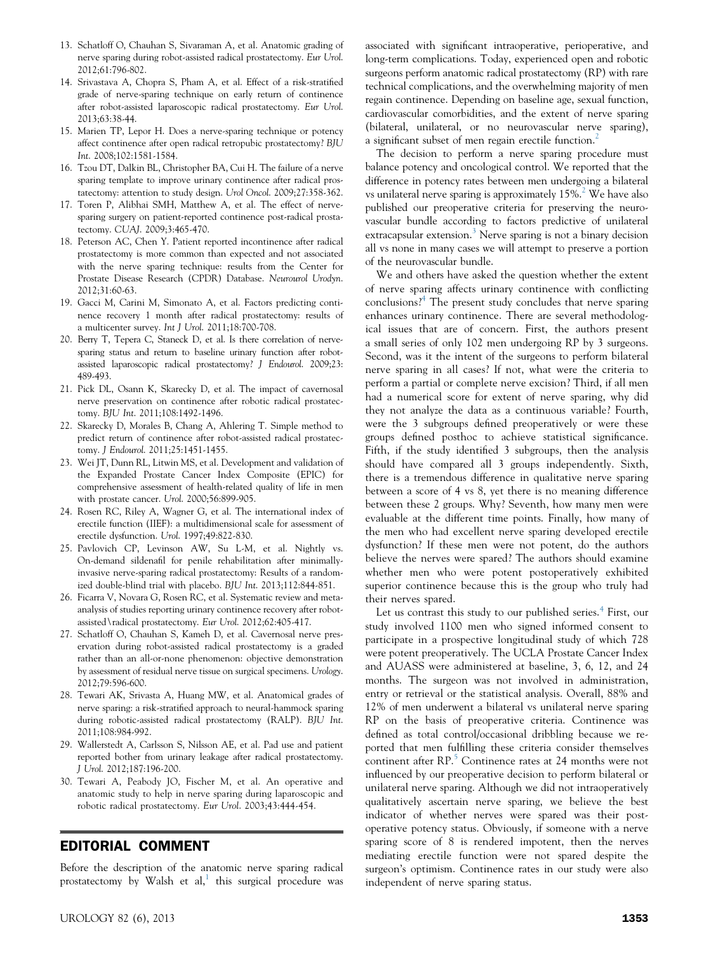- <span id="page-5-0"></span>13. Schatloff O, Chauhan S, Sivaraman A, et al. Anatomic grading of nerve sparing during robot-assisted radical prostatectomy. Eur Urol. 2012;61:796-802.
- 14. Srivastava A, Chopra S, Pham A, et al. Effect of a risk-stratified grade of nerve-sparing technique on early return of continence after robot-assisted laparoscopic radical prostatectomy. Eur Urol. 2013;63:38-44.
- 15. Marien TP, Lepor H. Does a nerve-sparing technique or potency affect continence after open radical retropubic prostatectomy? BJU Int. 2008;102:1581-1584.
- 16. Tzou DT, Dalkin BL, Christopher BA, Cui H. The failure of a nerve sparing template to improve urinary continence after radical prostatectomy: attention to study design. Urol Oncol. 2009;27:358-362.
- 17. Toren P, Alibhai SMH, Matthew A, et al. The effect of nervesparing surgery on patient-reported continence post-radical prostatectomy. CUAJ. 2009;3:465-470.
- 18. Peterson AC, Chen Y. Patient reported incontinence after radical prostatectomy is more common than expected and not associated with the nerve sparing technique: results from the Center for Prostate Disease Research (CPDR) Database. Neurourol Urodyn. 2012;31:60-63.
- 19. Gacci M, Carini M, Simonato A, et al. Factors predicting continence recovery 1 month after radical prostatectomy: results of a multicenter survey. Int J Urol. 2011;18:700-708.
- 20. Berry T, Tepera C, Staneck D, et al. Is there correlation of nervesparing status and return to baseline urinary function after robotassisted laparoscopic radical prostatectomy? J Endourol. 2009;23: 489-493.
- 21. Pick DL, Osann K, Skarecky D, et al. The impact of cavernosal nerve preservation on continence after robotic radical prostatectomy. BJU Int. 2011;108:1492-1496.
- 22. Skarecky D, Morales B, Chang A, Ahlering T. Simple method to predict return of continence after robot-assisted radical prostatectomy. J Endourol. 2011;25:1451-1455.
- 23. Wei JT, Dunn RL, Litwin MS, et al. Development and validation of the Expanded Prostate Cancer Index Composite (EPIC) for comprehensive assessment of health-related quality of life in men with prostate cancer. Urol. 2000;56:899-905.
- 24. Rosen RC, Riley A, Wagner G, et al. The international index of erectile function (IIEF): a multidimensional scale for assessment of erectile dysfunction. Urol. 1997;49:822-830.
- 25. Pavlovich CP, Levinson AW, Su L-M, et al. Nightly vs. On-demand sildenafil for penile rehabilitation after minimallyinvasive nerve-sparing radical prostatectomy: Results of a randomized double-blind trial with placebo. BJU Int. 2013;112:844-851.
- 26. Ficarra V, Novara G, Rosen RC, et al. Systematic review and metaanalysis of studies reporting urinary continence recovery after robotassisted\radical prostatectomy. Eur Urol. 2012;62:405-417.
- 27. Schatloff O, Chauhan S, Kameh D, et al. Cavernosal nerve preservation during robot-assisted radical prostatectomy is a graded rather than an all-or-none phenomenon: objective demonstration by assessment of residual nerve tissue on surgical specimens. Urology. 2012;79:596-600.
- 28. Tewari AK, Srivasta A, Huang MW, et al. Anatomical grades of nerve sparing: a risk-stratified approach to neural-hammock sparing during robotic-assisted radical prostatectomy (RALP). BJU Int. 2011;108:984-992.
- 29. Wallerstedt A, Carlsson S, Nilsson AE, et al. Pad use and patient reported bother from urinary leakage after radical prostatectomy. J Urol. 2012;187:196-200.
- 30. Tewari A, Peabody JO, Fischer M, et al. An operative and anatomic study to help in nerve sparing during laparoscopic and robotic radical prostatectomy. Eur Urol. 2003;43:444-454.

#### EDITORIAL COMMENT

Before the description of the anatomic nerve sparing radical prostatectomy by Walsh et  $al$ ,<sup>[1](#page-6-0)</sup> this surgical procedure was associated with significant intraoperative, perioperative, and long-term complications. Today, experienced open and robotic surgeons perform anatomic radical prostatectomy (RP) with rare technical complications, and the overwhelming majority of men regain continence. Depending on baseline age, sexual function, cardiovascular comorbidities, and the extent of nerve sparing (bilateral, unilateral, or no neurovascular nerve sparing), a significant subset of men regain erectile function.<sup>[2](#page-6-0)</sup>

The decision to perform a nerve sparing procedure must balance potency and oncological control. We reported that the difference in potency rates between men undergoing a bilateral vs unilateral nerve sparing is approximately  $15\%$ .<sup>2</sup> We have also published our preoperative criteria for preserving the neurovascular bundle according to factors predictive of unilateral extracapsular extension.<sup>[3](#page-6-0)</sup> Nerve sparing is not a binary decision all vs none in many cases we will attempt to preserve a portion of the neurovascular bundle.

We and others have asked the question whether the extent of nerve sparing affects urinary continence with conflicting conclusions?[4](#page-6-0) The present study concludes that nerve sparing enhances urinary continence. There are several methodological issues that are of concern. First, the authors present a small series of only 102 men undergoing RP by 3 surgeons. Second, was it the intent of the surgeons to perform bilateral nerve sparing in all cases? If not, what were the criteria to perform a partial or complete nerve excision? Third, if all men had a numerical score for extent of nerve sparing, why did they not analyze the data as a continuous variable? Fourth, were the 3 subgroups defined preoperatively or were these groups defined posthoc to achieve statistical significance. Fifth, if the study identified 3 subgroups, then the analysis should have compared all 3 groups independently. Sixth, there is a tremendous difference in qualitative nerve sparing between a score of 4 vs 8, yet there is no meaning difference between these 2 groups. Why? Seventh, how many men were evaluable at the different time points. Finally, how many of the men who had excellent nerve sparing developed erectile dysfunction? If these men were not potent, do the authors believe the nerves were spared? The authors should examine whether men who were potent postoperatively exhibited superior continence because this is the group who truly had their nerves spared.

Let us contrast this study to our published series.<sup>[4](#page-6-0)</sup> First, our study involved 1100 men who signed informed consent to participate in a prospective longitudinal study of which 728 were potent preoperatively. The UCLA Prostate Cancer Index and AUASS were administered at baseline, 3, 6, 12, and 24 months. The surgeon was not involved in administration, entry or retrieval or the statistical analysis. Overall, 88% and 12% of men underwent a bilateral vs unilateral nerve sparing RP on the basis of preoperative criteria. Continence was defined as total control/occasional dribbling because we reported that men fulfilling these criteria consider themselves continent after RP.<sup>[5](#page-6-0)</sup> Continence rates at 24 months were not influenced by our preoperative decision to perform bilateral or unilateral nerve sparing. Although we did not intraoperatively qualitatively ascertain nerve sparing, we believe the best indicator of whether nerves were spared was their postoperative potency status. Obviously, if someone with a nerve sparing score of 8 is rendered impotent, then the nerves mediating erectile function were not spared despite the surgeon's optimism. Continence rates in our study were also independent of nerve sparing status.